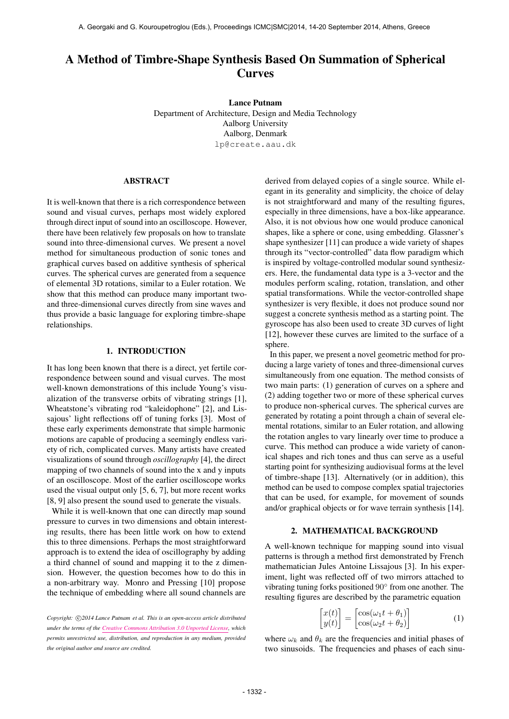# A Method of Timbre-Shape Synthesis Based On Summation of Spherical **Curves**

Lance Putnam Department of Architecture, Design and Media Technology Aalborg University Aalborg, Denmark [lp@create.aau.dk](mailto:lp@create.aau.dk)

#### ABSTRACT

It is well-known that there is a rich correspondence between sound and visual curves, perhaps most widely explored through direct input of sound into an oscilloscope. However, there have been relatively few proposals on how to translate sound into three-dimensional curves. We present a novel method for simultaneous production of sonic tones and graphical curves based on additive synthesis of spherical curves. The spherical curves are generated from a sequence of elemental 3D rotations, similar to a Euler rotation. We show that this method can produce many important twoand three-dimensional curves directly from sine waves and thus provide a basic language for exploring timbre-shape relationships.

## 1. INTRODUCTION

It has long been known that there is a direct, yet fertile correspondence between sound and visual curves. The most well-known demonstrations of this include Young's visualization of the transverse orbits of vibrating strings [1], Wheatstone's vibrating rod "kaleidophone" [2], and Lissajous' light reflections off of tuning forks [3]. Most of these early experiments demonstrate that simple harmonic motions are capable of producing a seemingly endless variety of rich, complicated curves. Many artists have created visualizations of sound through *oscillography* [4], the direct mapping of two channels of sound into the x and y inputs of an oscilloscope. Most of the earlier oscilloscope works used the visual output only [5, 6, 7], but more recent works [8, 9] also present the sound used to generate the visuals.

While it is well-known that one can directly map sound pressure to curves in two dimensions and obtain interesting results, there has been little work on how to extend this to three dimensions. Perhaps the most straightforward approach is to extend the idea of oscillography by adding a third channel of sound and mapping it to the z dimension. However, the question becomes how to do this in a non-arbitrary way. Monro and Pressing [10] propose the technique of embedding where all sound channels are

derived from delayed copies of a single source. While elegant in its generality and simplicity, the choice of delay is not straightforward and many of the resulting figures, especially in three dimensions, have a box-like appearance. Also, it is not obvious how one would produce canonical shapes, like a sphere or cone, using embedding. Glassner's shape synthesizer [11] can produce a wide variety of shapes through its "vector-controlled" data flow paradigm which is inspired by voltage-controlled modular sound synthesizers. Here, the fundamental data type is a 3-vector and the modules perform scaling, rotation, translation, and other spatial transformations. While the vector-controlled shape synthesizer is very flexible, it does not produce sound nor suggest a concrete synthesis method as a starting point. The gyroscope has also been used to create 3D curves of light [12], however these curves are limited to the surface of a sphere.

In this paper, we present a novel geometric method for producing a large variety of tones and three-dimensional curves simultaneously from one equation. The method consists of two main parts: (1) generation of curves on a sphere and (2) adding together two or more of these spherical curves to produce non-spherical curves. The spherical curves are generated by rotating a point through a chain of several elemental rotations, similar to an Euler rotation, and allowing the rotation angles to vary linearly over time to produce a curve. This method can produce a wide variety of canonical shapes and rich tones and thus can serve as a useful starting point for synthesizing audiovisual forms at the level of timbre-shape [13]. Alternatively (or in addition), this method can be used to compose complex spatial trajectories that can be used, for example, for movement of sounds and/or graphical objects or for wave terrain synthesis [14].

#### 2. MATHEMATICAL BACKGROUND

A well-known technique for mapping sound into visual patterns is through a method first demonstrated by French mathematician Jules Antoine Lissajous [3]. In his experiment, light was reflected off of two mirrors attached to vibrating tuning forks positioned 90◦ from one another. The resulting figures are described by the parametric equation

$$
\begin{bmatrix} x(t) \\ y(t) \end{bmatrix} = \begin{bmatrix} \cos(\omega_1 t + \theta_1) \\ \cos(\omega_2 t + \theta_2) \end{bmatrix}
$$
 (1)

where  $\omega_k$  and  $\theta_k$  are the frequencies and initial phases of two sinusoids. The frequencies and phases of each sinu-

Copyright:  $\bigcirc$ 2014 Lance Putnam et al. This is an open-access article distributed *under the terms of the [Creative Commons Attribution 3.0 Unported License,](http://creativecommons.org/licenses/by/3.0/) which permits unrestricted use, distribution, and reproduction in any medium, provided the original author and source are credited.*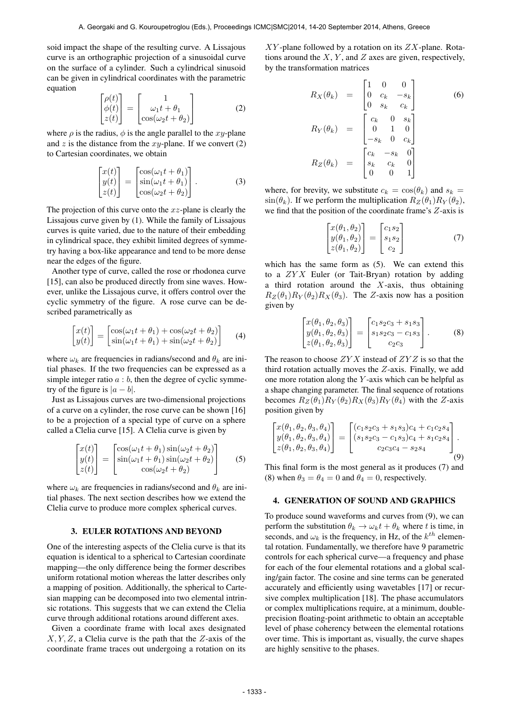soid impact the shape of the resulting curve. A Lissajous curve is an orthographic projection of a sinusoidal curve on the surface of a cylinder. Such a cylindrical sinusoid can be given in cylindrical coordinates with the parametric equation

$$
\begin{bmatrix}\n\rho(t) \\
\phi(t) \\
z(t)\n\end{bmatrix} = \begin{bmatrix}\n1 \\
\omega_1 t + \theta_1 \\
\cos(\omega_2 t + \theta_2)\n\end{bmatrix}
$$
\n(2)

where  $\rho$  is the radius,  $\phi$  is the angle parallel to the xy-plane and  $z$  is the distance from the  $xy$ -plane. If we convert  $(2)$ to Cartesian coordinates, we obtain

$$
\begin{bmatrix} x(t) \\ y(t) \\ z(t) \end{bmatrix} = \begin{bmatrix} \cos(\omega_1 t + \theta_1) \\ \sin(\omega_1 t + \theta_1) \\ \cos(\omega_2 t + \theta_2) \end{bmatrix} . \tag{3}
$$

The projection of this curve onto the  $xz$ -plane is clearly the Lissajous curve given by (1). While the family of Lissajous curves is quite varied, due to the nature of their embedding in cylindrical space, they exhibit limited degrees of symmetry having a box-like appearance and tend to be more dense near the edges of the figure.

Another type of curve, called the rose or rhodonea curve [15], can also be produced directly from sine waves. However, unlike the Lissajous curve, it offers control over the cyclic symmetry of the figure. A rose curve can be described parametrically as

$$
\begin{bmatrix} x(t) \\ y(t) \end{bmatrix} = \begin{bmatrix} \cos(\omega_1 t + \theta_1) + \cos(\omega_2 t + \theta_2) \\ \sin(\omega_1 t + \theta_1) + \sin(\omega_2 t + \theta_2) \end{bmatrix}
$$
 (4)

where  $\omega_k$  are frequencies in radians/second and  $\theta_k$  are initial phases. If the two frequencies can be expressed as a simple integer ratio  $a : b$ , then the degree of cyclic symmetry of the figure is  $|a - b|$ .

Just as Lissajous curves are two-dimensional projections of a curve on a cylinder, the rose curve can be shown [16] to be a projection of a special type of curve on a sphere called a Clelia curve [15]. A Clelia curve is given by

$$
\begin{bmatrix} x(t) \\ y(t) \\ z(t) \end{bmatrix} = \begin{bmatrix} \cos(\omega_1 t + \theta_1) \sin(\omega_2 t + \theta_2) \\ \sin(\omega_1 t + \theta_1) \sin(\omega_2 t + \theta_2) \\ \cos(\omega_2 t + \theta_2) \end{bmatrix}
$$
 (5)

where  $\omega_k$  are frequencies in radians/second and  $\theta_k$  are initial phases. The next section describes how we extend the Clelia curve to produce more complex spherical curves.

#### 3. EULER ROTATIONS AND BEYOND

One of the interesting aspects of the Clelia curve is that its equation is identical to a spherical to Cartesian coordinate mapping—the only difference being the former describes uniform rotational motion whereas the latter describes only a mapping of position. Additionally, the spherical to Cartesian mapping can be decomposed into two elemental intrinsic rotations. This suggests that we can extend the Clelia curve through additional rotations around different axes.

Given a coordinate frame with local axes designated  $X, Y, Z$ , a Clelia curve is the path that the  $Z$ -axis of the coordinate frame traces out undergoing a rotation on its  $XY$ -plane followed by a rotation on its  $ZX$ -plane. Rotations around the  $X, Y$ , and  $Z$  axes are given, respectively, by the transformation matrices

$$
R_X(\theta_k) = \begin{bmatrix} 1 & 0 & 0 \\ 0 & c_k & -s_k \\ 0 & s_k & c_k \end{bmatrix}
$$
(6)  

$$
R_Y(\theta_k) = \begin{bmatrix} c_k & 0 & s_k \\ 0 & 1 & 0 \\ -s_k & 0 & c_k \end{bmatrix}
$$
  

$$
R_Z(\theta_k) = \begin{bmatrix} c_k & -s_k & 0 \\ s_k & c_k & 0 \\ 0 & 0 & 1 \end{bmatrix}
$$

where, for brevity, we substitute  $c_k = \cos(\theta_k)$  and  $s_k =$  $\sin(\theta_k)$ . If we perform the multiplication  $R_Z(\theta_1)R_Y(\theta_2)$ , we find that the position of the coordinate frame's Z-axis is

$$
\begin{bmatrix} x(\theta_1, \theta_2) \\ y(\theta_1, \theta_2) \\ z(\theta_1, \theta_2) \end{bmatrix} = \begin{bmatrix} c_1 s_2 \\ s_1 s_2 \\ c_2 \end{bmatrix}
$$
 (7)

which has the same form as (5). We can extend this to a  $ZYX$  Euler (or Tait-Bryan) rotation by adding a third rotation around the  $X$ -axis, thus obtaining  $R_Z(\theta_1)R_Y(\theta_2)R_X(\theta_3)$ . The Z-axis now has a position given by

$$
\begin{bmatrix} x(\theta_1, \theta_2, \theta_3) \\ y(\theta_1, \theta_2, \theta_3) \\ z(\theta_1, \theta_2, \theta_3) \end{bmatrix} = \begin{bmatrix} c_1 s_2 c_3 + s_1 s_3 \\ s_1 s_2 c_3 - c_1 s_3 \\ c_2 c_3 \end{bmatrix} .
$$
 (8)

The reason to choose  $ZYX$  instead of  $ZYZ$  is so that the third rotation actually moves the Z-axis. Finally, we add one more rotation along the Y -axis which can be helpful as a shape changing parameter. The final sequence of rotations becomes  $R_Z(\theta_1)R_Y(\theta_2)R_X(\theta_3)R_Y(\theta_4)$  with the Z-axis position given by

$$
\begin{bmatrix} x(\theta_1, \theta_2, \theta_3, \theta_4) \\ y(\theta_1, \theta_2, \theta_3, \theta_4) \\ z(\theta_1, \theta_2, \theta_3, \theta_4) \end{bmatrix} = \begin{bmatrix} (c_1s_2c_3 + s_1s_3)c_4 + c_1c_2s_4 \\ (s_1s_2c_3 - c_1s_3)c_4 + s_1c_2s_4 \\ c_2c_3c_4 - s_2s_4 \end{bmatrix}.
$$
\n(9)

This final form is the most general as it produces (7) and (8) when  $\theta_3 = \theta_4 = 0$  and  $\theta_4 = 0$ , respectively.

### 4. GENERATION OF SOUND AND GRAPHICS

To produce sound waveforms and curves from (9), we can perform the substitution  $\theta_k \to \omega_k t + \theta_k$  where t is time, in seconds, and  $\omega_k$  is the frequency, in Hz, of the  $k^{th}$  elemental rotation. Fundamentally, we therefore have 9 parametric controls for each spherical curve—a frequency and phase for each of the four elemental rotations and a global scaling/gain factor. The cosine and sine terms can be generated accurately and efficiently using wavetables [17] or recursive complex multiplication [18]. The phase accumulators or complex multiplications require, at a minimum, doubleprecision floating-point arithmetic to obtain an acceptable level of phase coherency between the elemental rotations over time. This is important as, visually, the curve shapes are highly sensitive to the phases.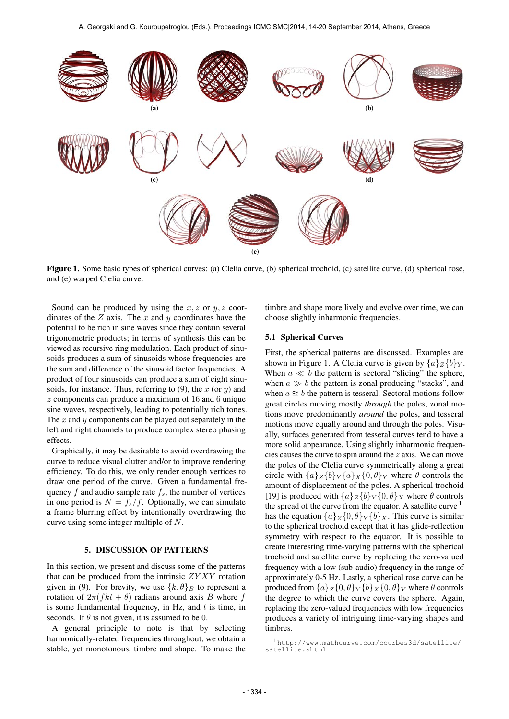

Figure 1. Some basic types of spherical curves: (a) Clelia curve, (b) spherical trochoid, (c) satellite curve, (d) spherical rose, and (e) warped Clelia curve.

Sound can be produced by using the  $x, z$  or  $y, z$  coordinates of the  $Z$  axis. The  $x$  and  $y$  coordinates have the potential to be rich in sine waves since they contain several trigonometric products; in terms of synthesis this can be viewed as recursive ring modulation. Each product of sinusoids produces a sum of sinusoids whose frequencies are the sum and difference of the sinusoid factor frequencies. A product of four sinusoids can produce a sum of eight sinusoids, for instance. Thus, referring to  $(9)$ , the x (or y) and z components can produce a maximum of 16 and 6 unique sine waves, respectively, leading to potentially rich tones. The  $x$  and  $y$  components can be played out separately in the left and right channels to produce complex stereo phasing effects.

Graphically, it may be desirable to avoid overdrawing the curve to reduce visual clutter and/or to improve rendering efficiency. To do this, we only render enough vertices to draw one period of the curve. Given a fundamental frequency  $f$  and audio sample rate  $f_s$ , the number of vertices in one period is  $N = f_s/f$ . Optionally, we can simulate a frame blurring effect by intentionally overdrawing the curve using some integer multiple of N.

#### 5. DISCUSSION OF PATTERNS

In this section, we present and discuss some of the patterns that can be produced from the intrinsic  $ZYXY$  rotation given in (9). For brevity, we use  $\{k, \theta\}_B$  to represent a rotation of  $2\pi (fkt + \theta)$  radians around axis B where f is some fundamental frequency, in Hz, and  $t$  is time, in seconds. If  $\theta$  is not given, it is assumed to be 0.

A general principle to note is that by selecting harmonically-related frequencies throughout, we obtain a stable, yet monotonous, timbre and shape. To make the timbre and shape more lively and evolve over time, we can choose slightly inharmonic frequencies.

#### 5.1 Spherical Curves

First, the spherical patterns are discussed. Examples are shown in Figure 1. A Clelia curve is given by  $\{a\}_Z\{b\}_Y$ . When  $a \ll b$  the pattern is sectoral "slicing" the sphere, when  $a \gg b$  the pattern is zonal producing "stacks", and when  $a \approx b$  the pattern is tesseral. Sectoral motions follow great circles moving mostly *through* the poles, zonal motions move predominantly *around* the poles, and tesseral motions move equally around and through the poles. Visually, surfaces generated from tesseral curves tend to have a more solid appearance. Using slightly inharmonic frequencies causes the curve to spin around the z axis. We can move the poles of the Clelia curve symmetrically along a great circle with  $\{a\}_Z\{b\}_Y\{a\}_X\{0,\theta\}_Y$  where  $\theta$  controls the amount of displacement of the poles. A spherical trochoid [19] is produced with  $\{a\}_Z \{b\}_Y \{0, \theta\}_X$  where  $\theta$  controls the spread of the curve from the equator. A satellite curve  $<sup>1</sup>$ </sup> has the equation  $\{a\}_Z\{0,\theta\}_Y\{b\}_X$ . This curve is similar to the spherical trochoid except that it has glide-reflection symmetry with respect to the equator. It is possible to create interesting time-varying patterns with the spherical trochoid and satellite curve by replacing the zero-valued frequency with a low (sub-audio) frequency in the range of approximately 0-5 Hz. Lastly, a spherical rose curve can be produced from  $\{a\}_Z\{0,\theta\}_Y\{b\}_X\{0,\theta\}_Y$  where  $\theta$  controls the degree to which the curve covers the sphere. Again, replacing the zero-valued frequencies with low frequencies produces a variety of intriguing time-varying shapes and timbres.

<sup>1</sup> [http://www.mathcurve.com/courbes3d/satellite/](http://www.mathcurve.com/courbes3d/satellite/satellite.shtml) [satellite.shtml](http://www.mathcurve.com/courbes3d/satellite/satellite.shtml)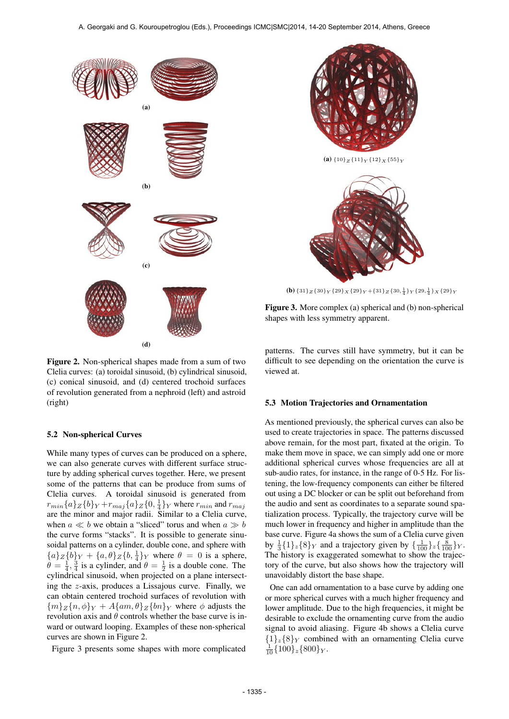

Figure 2. Non-spherical shapes made from a sum of two Clelia curves: (a) toroidal sinusoid, (b) cylindrical sinusoid, (c) conical sinusoid, and (d) centered trochoid surfaces of revolution generated from a nephroid (left) and astroid (right)

#### 5.2 Non-spherical Curves

While many types of curves can be produced on a sphere, we can also generate curves with different surface structure by adding spherical curves together. Here, we present some of the patterns that can be produce from sums of Clelia curves. A toroidal sinusoid is generated from  $r_{min}\{a\}_Z\{b\}_Y+r_{maj}\{a\}_Z\{0,\frac{1}{4}\}_Y$  where  $r_{min}$  and  $r_{maj}$ are the minor and major radii. Similar to a Clelia curve, when  $a \ll b$  we obtain a "sliced" torus and when  $a \gg b$ the curve forms "stacks". It is possible to generate sinusoidal patterns on a cylinder, double cone, and sphere with  ${a}Z{b}Y + {a,\theta}Z{b,\frac{1}{4}}Y$  where  $\theta = 0$  is a sphere,  $\theta = \frac{1}{4}, \frac{3}{4}$  is a cylinder, and  $\theta = \frac{1}{2}$  is a double cone. The cylindrical sinusoid, when projected on a plane intersecting the z-axis, produces a Lissajous curve. Finally, we can obtain centered trochoid surfaces of revolution with  ${m}_{Z}{n, \phi}_{Y} + A{am, \theta}_{Z}{bn}_{Y}$  where  $\phi$  adjusts the revolution axis and  $\theta$  controls whether the base curve is inward or outward looping. Examples of these non-spherical curves are shown in Figure 2.

Figure 3 presents some shapes with more complicated



**(b)**  $\{31\}_Z \{30\}_Y \{29\}_X \{29\}_Y + \{31\}_Z \{30, \frac{1}{4}\}_Y \{29, \frac{1}{4}\}_X \{29\}_Y$ 

Figure 3. More complex (a) spherical and (b) non-spherical shapes with less symmetry apparent.

patterns. The curves still have symmetry, but it can be difficult to see depending on the orientation the curve is viewed at.

#### 5.3 Motion Trajectories and Ornamentation

As mentioned previously, the spherical curves can also be used to create trajectories in space. The patterns discussed above remain, for the most part, fixated at the origin. To make them move in space, we can simply add one or more additional spherical curves whose frequencies are all at sub-audio rates, for instance, in the range of 0-5 Hz. For listening, the low-frequency components can either be filtered out using a DC blocker or can be split out beforehand from the audio and sent as coordinates to a separate sound spatialization process. Typically, the trajectory curve will be much lower in frequency and higher in amplitude than the base curve. Figure 4a shows the sum of a Clelia curve given by  $\frac{1}{3}$ {1}<sub>z</sub>{8}<sub>Y</sub> and a trajectory given by { $\frac{1}{100}$ }<sub>z</sub>{ $\frac{8}{100}$ }<sub>Y</sub>. The history is exaggerated somewhat to show the trajectory of the curve, but also shows how the trajectory will unavoidably distort the base shape.

One can add ornamentation to a base curve by adding one or more spherical curves with a much higher frequency and lower amplitude. Due to the high frequencies, it might be desirable to exclude the ornamenting curve from the audio signal to avoid aliasing. Figure 4b shows a Clelia curve  ${1}_z{8}_Y$  combined with an ornamenting Clelia curve  $\frac{1}{10}$ {100}<sub>z</sub>{800}<sub>Y</sub>.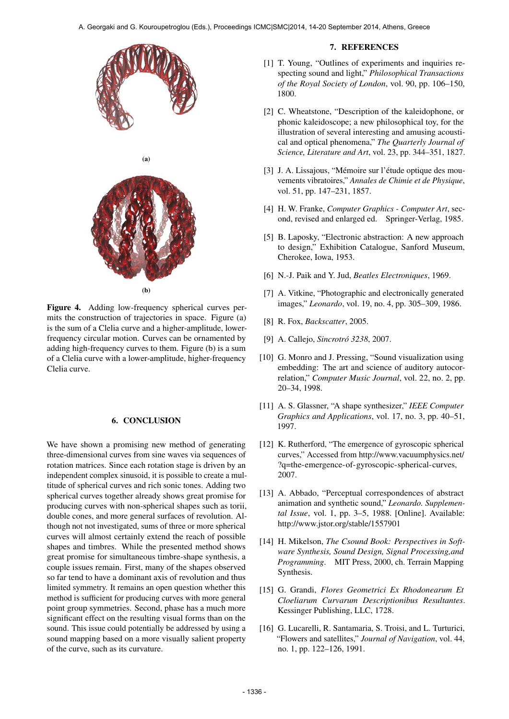

Figure 4. Adding low-frequency spherical curves permits the construction of trajectories in space. Figure (a) is the sum of a Clelia curve and a higher-amplitude, lowerfrequency circular motion. Curves can be ornamented by adding high-frequency curves to them. Figure (b) is a sum of a Clelia curve with a lower-amplitude, higher-frequency Clelia curve.

## 6. CONCLUSION

We have shown a promising new method of generating three-dimensional curves from sine waves via sequences of rotation matrices. Since each rotation stage is driven by an independent complex sinusoid, it is possible to create a multitude of spherical curves and rich sonic tones. Adding two spherical curves together already shows great promise for producing curves with non-spherical shapes such as torii, double cones, and more general surfaces of revolution. Although not not investigated, sums of three or more spherical curves will almost certainly extend the reach of possible shapes and timbres. While the presented method shows great promise for simultaneous timbre-shape synthesis, a couple issues remain. First, many of the shapes observed so far tend to have a dominant axis of revolution and thus limited symmetry. It remains an open question whether this method is sufficient for producing curves with more general point group symmetries. Second, phase has a much more significant effect on the resulting visual forms than on the sound. This issue could potentially be addressed by using a sound mapping based on a more visually salient property of the curve, such as its curvature.

#### 7. REFERENCES

- [1] T. Young, "Outlines of experiments and inquiries respecting sound and light," *Philosophical Transactions of the Royal Society of London*, vol. 90, pp. 106–150, 1800.
- [2] C. Wheatstone, "Description of the kaleidophone, or phonic kaleidoscope; a new philosophical toy, for the illustration of several interesting and amusing acoustical and optical phenomena," *The Quarterly Journal of Science, Literature and Art*, vol. 23, pp. 344–351, 1827.
- [3] J. A. Lissajous, "Mémoire sur l'étude optique des mouvements vibratoires," *Annales de Chimie et de Physique*, vol. 51, pp. 147–231, 1857.
- [4] H. W. Franke, *Computer Graphics Computer Art*, second, revised and enlarged ed. Springer-Verlag, 1985.
- [5] B. Laposky, "Electronic abstraction: A new approach to design," Exhibition Catalogue, Sanford Museum, Cherokee, Iowa, 1953.
- [6] N.-J. Paik and Y. Jud, *Beatles Electroniques*, 1969.
- [7] A. Vitkine, "Photographic and electronically generated images," *Leonardo*, vol. 19, no. 4, pp. 305–309, 1986.
- [8] R. Fox, *Backscatter*, 2005.
- [9] A. Callejo, *Sincrotró 3238*, 2007.
- [10] G. Monro and J. Pressing, "Sound visualization using embedding: The art and science of auditory autocorrelation," *Computer Music Journal*, vol. 22, no. 2, pp. 20–34, 1998.
- [11] A. S. Glassner, "A shape synthesizer," *IEEE Computer Graphics and Applications*, vol. 17, no. 3, pp. 40–51, 1997.
- [12] K. Rutherford, "The emergence of gyroscopic spherical curves," Accessed from [http://www.vacuumphysics.net/](http://www.vacuumphysics.net/?q=the-emergence-of-gyroscopic-spherical-curves) [?q=the-emergence-of-gyroscopic-spherical-curves,](http://www.vacuumphysics.net/?q=the-emergence-of-gyroscopic-spherical-curves) 2007.
- [13] A. Abbado, "Perceptual correspondences of abstract animation and synthetic sound," *Leonardo. Supplemental Issue*, vol. 1, pp. 3–5, 1988. [Online]. Available: <http://www.jstor.org/stable/1557901>
- [14] H. Mikelson, *The Csound Book: Perspectives in Software Synthesis, Sound Design, Signal Processing,and Programming*. MIT Press, 2000, ch. Terrain Mapping Synthesis.
- [15] G. Grandi, *Flores Geometrici Ex Rhodonearum Et Cloeliarum Curvarum Descriptionibus Resultantes*. Kessinger Publishing, LLC, 1728.
- [16] G. Lucarelli, R. Santamaria, S. Troisi, and L. Turturici, "Flowers and satellites," *Journal of Navigation*, vol. 44, no. 1, pp. 122–126, 1991.